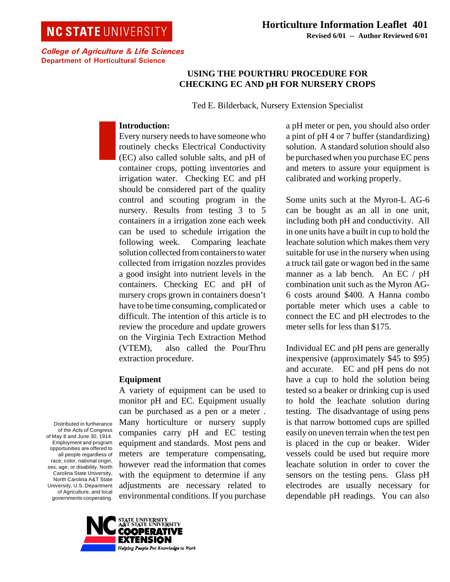# **NC STATE UNIVERSITY**

## **USING THE POURTHRU PROCEDURE FOR CHECKING EC AND pH FOR NURSERY CROPS**

Ted E. Bilderback, Nursery Extension Specialist

## **Introduction:**

Every nursery needs to have someone who routinely checks Electrical Conductivity (EC) also called soluble salts, and pH of container crops, potting inventories and irrigation water. Checking EC and pH should be considered part of the quality control and scouting program in the nursery. Results from testing 3 to 5 containers in a irrigation zone each week can be used to schedule irrigation the following week. Comparing leachate solution collected from containers to water collected from irrigation nozzles provides a good insight into nutrient levels in the containers. Checking EC and pH of nursery crops grown in containers doesn't have to be time consuming, complicated or difficult. The intention of this article is to review the procedure and update growers on the Virginia Tech Extraction Method (VTEM), also called the PourThru extraction procedure.

## **Equipment**

A variety of equipment can be used to monitor pH and EC. Equipment usually can be purchased as a pen or a meter . Many horticulture or nursery supply companies carry pH and EC testing equipment and standards. Most pens and meters are temperature compensating, however read the information that comes with the equipment to determine if any adjustments are necessary related to environmental conditions. If you purchase a pH meter or pen, you should also order a pint of pH 4 or 7 buffer (standardizing) solution. A standard solution should also be purchased when you purchase EC pens and meters to assure your equipment is calibrated and working properly.

Some units such at the Myron-L AG-6 can be bought as an all in one unit, including both pH and conductivity. All in one units have a built in cup to hold the leachate solution which makes them very suitable for use in the nursery when using a truck tail gate or wagon bed in the same manner as a lab bench. An EC / pH combination unit such as the Myron AG-6 costs around \$400. A Hanna combo portable meter which uses a cable to connect the EC and pH electrodes to the meter sells for less than \$175.

Individual EC and pH pens are generally inexpensive (approximately \$45 to \$95) and accurate. EC and pH pens do not have a cup to hold the solution being tested so a beaker or drinking cup is used to hold the leachate solution during testing. The disadvantage of using pens is that narrow bottomed cups are spilled easily on uneven terrain when the test pen is placed in the cup or beaker. Wider vessels could be used but require more leachate solution in order to cover the sensors on the testing pens. Glass pH electrodes are usually necessary for dependable pH readings. You can also

Distributed in furtherance of the Acts of Congress of May 8 and June 30, 1914. Employment and program opportunities are offered to all people regardless of race, color, national origin, sex, age, or disability. North Carolina State University, North Carolina A&T State University, U.S. Department of Agriculture, and local governments cooperating.

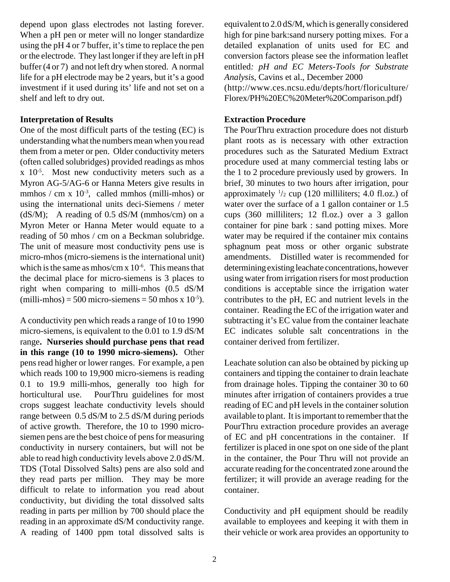depend upon glass electrodes not lasting forever. When a pH pen or meter will no longer standardize using the pH 4 or 7 buffer, it's time to replace the pen or the electrode. They last longer if they are left in pH buffer (4 or 7) and not left dry when stored. A normal life for a pH electrode may be 2 years, but it's a good investment if it used during its' life and not set on a shelf and left to dry out.

#### **Interpretation of Results**

One of the most difficult parts of the testing (EC) is understanding what the numbers mean when you read them from a meter or pen. Older conductivity meters (often called solubridges) provided readings as mhos  $x$  10<sup>-5</sup>. Most new conductivity meters such as a Myron AG-5/AG-6 or Hanna Meters give results in mmhos / cm x  $10^{-3}$ , called mmhos (milli-mhos) or using the international units deci-Siemens / meter ( $dS/M$ ); A reading of 0.5 dS/M (mmhos/cm) on a Myron Meter or Hanna Meter would equate to a reading of 50 mhos / cm on a Beckman solubridge. The unit of measure most conductivity pens use is micro-mhos (micro-siemens is the international unit) which is the same as mhos/cm  $x$  10<sup>-6</sup>. This means that the decimal place for micro-siemens is 3 places to right when comparing to milli-mhos (0.5 dS/M (milli-mhos) = 500 micro-siemens = 50 mhos x  $10^{-5}$ ).

A conductivity pen which reads a range of 10 to 1990 micro-siemens, is equivalent to the 0.01 to 1.9 dS/M range**. Nurseries should purchase pens that read in this range (10 to 1990 micro-siemens).** Other pens read higher or lower ranges. For example, a pen which reads 100 to 19,900 micro-siemens is reading 0.1 to 19.9 milli-mhos, generally too high for horticultural use. PourThru guidelines for most crops suggest leachate conductivity levels should range between 0.5 dS/M to 2.5 dS/M during periods of active growth. Therefore, the 10 to 1990 microsiemen pens are the best choice of pens for measuring conductivity in nursery containers, but will not be able to read high conductivity levels above 2.0 dS/M. TDS (Total Dissolved Salts) pens are also sold and they read parts per million. They may be more difficult to relate to information you read about conductivity, but dividing the total dissolved salts reading in parts per million by 700 should place the reading in an approximate dS/M conductivity range. A reading of 1400 ppm total dissolved salts is

equivalent to 2.0 dS/M, which is generally considered high for pine bark:sand nursery potting mixes. For a detailed explanation of units used for EC and conversion factors please see the information leaflet entitled*: pH and EC Meters-Tools for Substrate Analysis*, Cavins et al., December 2000 (http://www.ces.ncsu.edu/depts/hort/floriculture/ Florex/PH%20EC%20Meter%20Comparison.pdf)

#### **Extraction Procedure**

The PourThru extraction procedure does not disturb plant roots as is necessary with other extraction procedures such as the Saturated Medium Extract procedure used at many commercial testing labs or the 1 to 2 procedure previously used by growers. In brief, 30 minutes to two hours after irrigation, pour approximately 1 /2 cup (120 milliliters; 4.0 fl.oz.) of water over the surface of a 1 gallon container or 1.5 cups (360 milliliters; 12 fl.oz.) over a 3 gallon container for pine bark : sand potting mixes. More water may be required if the container mix contains sphagnum peat moss or other organic substrate amendments. Distilled water is recommended for determining existing leachate concentrations, however using water from irrigation risers for most production conditions is acceptable since the irrigation water contributes to the pH, EC and nutrient levels in the container. Reading the EC of the irrigation water and subtracting it's EC value from the container leachate EC indicates soluble salt concentrations in the container derived from fertilizer.

Leachate solution can also be obtained by picking up containers and tipping the container to drain leachate from drainage holes. Tipping the container 30 to 60 minutes after irrigation of containers provides a true reading of EC and pH levels in the container solution available to plant. It is important to remember that the PourThru extraction procedure provides an average of EC and pH concentrations in the container. If fertilizer is placed in one spot on one side of the plant in the container, the Pour Thru will not provide an accurate reading for the concentrated zone around the fertilizer; it will provide an average reading for the container.

Conductivity and pH equipment should be readily available to employees and keeping it with them in their vehicle or work area provides an opportunity to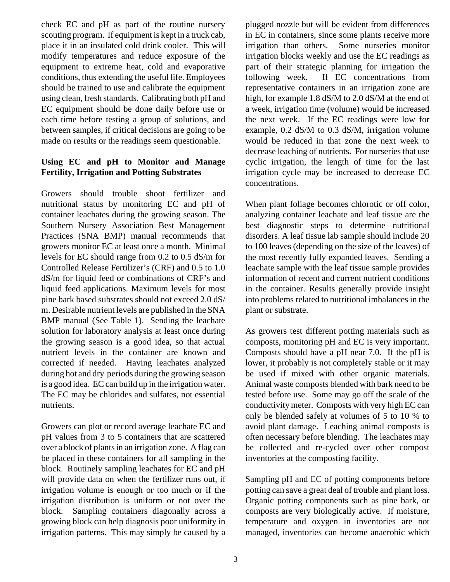check EC and pH as part of the routine nursery scouting program. If equipment is kept in a truck cab, place it in an insulated cold drink cooler. This will modify temperatures and reduce exposure of the equipment to extreme heat, cold and evaporative conditions, thus extending the useful life. Employees should be trained to use and calibrate the equipment using clean, fresh standards. Calibrating both pH and EC equipment should be done daily before use or each time before testing a group of solutions, and between samples, if critical decisions are going to be made on results or the readings seem questionable.

## **Using EC and pH to Monitor and Manage Fertility, Irrigation and Potting Substrates**

Growers should trouble shoot fertilizer and nutritional status by monitoring EC and pH of container leachates during the growing season. The Southern Nursery Association Best Management Practices (SNA BMP) manual recommends that growers monitor EC at least once a month. Minimal levels for EC should range from 0.2 to 0.5 dS/m for Controlled Release Fertilizer's (CRF) and 0.5 to 1.0 dS/m for liquid feed or combinations of CRF's and liquid feed applications. Maximum levels for most pine bark based substrates should not exceed 2.0 dS/ m. Desirable nutrient levels are published in the SNA BMP manual (See Table 1). Sending the leachate solution for laboratory analysis at least once during the growing season is a good idea, so that actual nutrient levels in the container are known and corrected if needed. Having leachates analyzed during hot and dry periods during the growing season is a good idea. EC can build up in the irrigation water. The EC may be chlorides and sulfates, not essential nutrients.

Growers can plot or record average leachate EC and pH values from 3 to 5 containers that are scattered over a block of plants in an irrigation zone. A flag can be placed in these containers for all sampling in the block. Routinely sampling leachates for EC and pH will provide data on when the fertilizer runs out, if irrigation volume is enough or too much or if the irrigation distribution is uniform or not over the block. Sampling containers diagonally across a growing block can help diagnosis poor uniformity in irrigation patterns. This may simply be caused by a

plugged nozzle but will be evident from differences in EC in containers, since some plants receive more irrigation than others. Some nurseries monitor irrigation blocks weekly and use the EC readings as part of their strategic planning for irrigation the following week. If EC concentrations from representative containers in an irrigation zone are high, for example 1.8 dS/M to 2.0 dS/M at the end of a week, irrigation time (volume) would be increased the next week. If the EC readings were low for example, 0.2 dS/M to 0.3 dS/M, irrigation volume would be reduced in that zone the next week to decrease leaching of nutrients. For nurseries that use cyclic irrigation, the length of time for the last irrigation cycle may be increased to decrease EC concentrations.

When plant foliage becomes chlorotic or off color, analyzing container leachate and leaf tissue are the best diagnostic steps to determine nutritional disorders. A leaf tissue lab sample should include 20 to 100 leaves (depending on the size of the leaves) of the most recently fully expanded leaves. Sending a leachate sample with the leaf tissue sample provides information of recent and current nutrient conditions in the container. Results generally provide insight into problems related to nutritional imbalances in the plant or substrate.

As growers test different potting materials such as composts, monitoring pH and EC is very important. Composts should have a pH near 7.0. If the pH is lower, it probably is not completely stable or it may be used if mixed with other organic materials. Animal waste composts blended with bark need to be tested before use. Some may go off the scale of the conductivity meter. Composts with very high EC can only be blended safely at volumes of 5 to 10 % to avoid plant damage. Leaching animal composts is often necessary before blending. The leachates may be collected and re-cycled over other compost inventories at the composting facility.

Sampling pH and EC of potting components before potting can save a great deal of trouble and plant loss. Organic potting components such as pine bark, or composts are very biologically active. If moisture, temperature and oxygen in inventories are not managed, inventories can become anaerobic which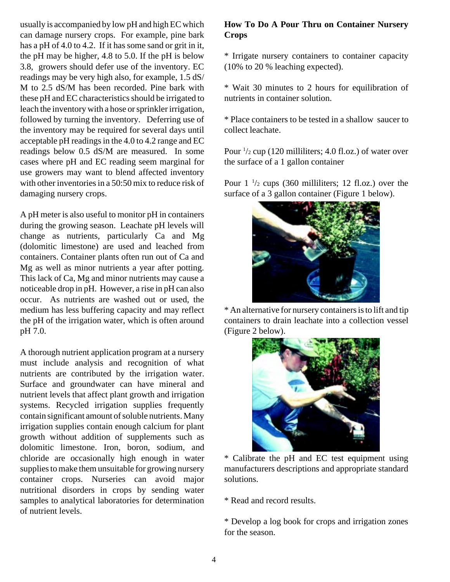usually is accompanied by low pH and high EC which can damage nursery crops. For example, pine bark has a pH of 4.0 to 4.2. If it has some sand or grit in it, the pH may be higher, 4.8 to 5.0. If the pH is below 3.8, growers should defer use of the inventory. EC readings may be very high also, for example, 1.5 dS/ M to 2.5 dS/M has been recorded. Pine bark with these pH and EC characteristics should be irrigated to leach the inventory with a hose or sprinkler irrigation, followed by turning the inventory. Deferring use of the inventory may be required for several days until acceptable pH readings in the 4.0 to 4.2 range and EC readings below 0.5 dS/M are measured. In some cases where pH and EC reading seem marginal for use growers may want to blend affected inventory with other inventories in a 50:50 mix to reduce risk of damaging nursery crops.

A pH meter is also useful to monitor pH in containers during the growing season. Leachate pH levels will change as nutrients, particularly Ca and Mg (dolomitic limestone) are used and leached from containers. Container plants often run out of Ca and Mg as well as minor nutrients a year after potting. This lack of Ca, Mg and minor nutrients may cause a noticeable drop in pH. However, a rise in pH can also occur. As nutrients are washed out or used, the medium has less buffering capacity and may reflect the pH of the irrigation water, which is often around pH 7.0.

A thorough nutrient application program at a nursery must include analysis and recognition of what nutrients are contributed by the irrigation water. Surface and groundwater can have mineral and nutrient levels that affect plant growth and irrigation systems. Recycled irrigation supplies frequently contain significant amount of soluble nutrients. Many irrigation supplies contain enough calcium for plant growth without addition of supplements such as dolomitic limestone. Iron, boron, sodium, and chloride are occasionally high enough in water supplies to make them unsuitable for growing nursery container crops. Nurseries can avoid major nutritional disorders in crops by sending water samples to analytical laboratories for determination of nutrient levels.

## **How To Do A Pour Thru on Container Nursery Crops**

\* Irrigate nursery containers to container capacity (10% to 20 % leaching expected).

\* Wait 30 minutes to 2 hours for equilibration of nutrients in container solution.

\* Place containers to be tested in a shallow saucer to collect leachate.

Pour  $\frac{1}{2}$  cup (120 milliliters; 4.0 fl.oz.) of water over the surface of a 1 gallon container

Pour  $1\frac{1}{2}$  cups (360 milliliters; 12 fl.oz.) over the surface of a 3 gallon container (Figure 1 below).



\* An alternative for nursery containers is to lift and tip containers to drain leachate into a collection vessel (Figure 2 below).



\* Calibrate the pH and EC test equipment using manufacturers descriptions and appropriate standard solutions.

\* Read and record results.

\* Develop a log book for crops and irrigation zones for the season.